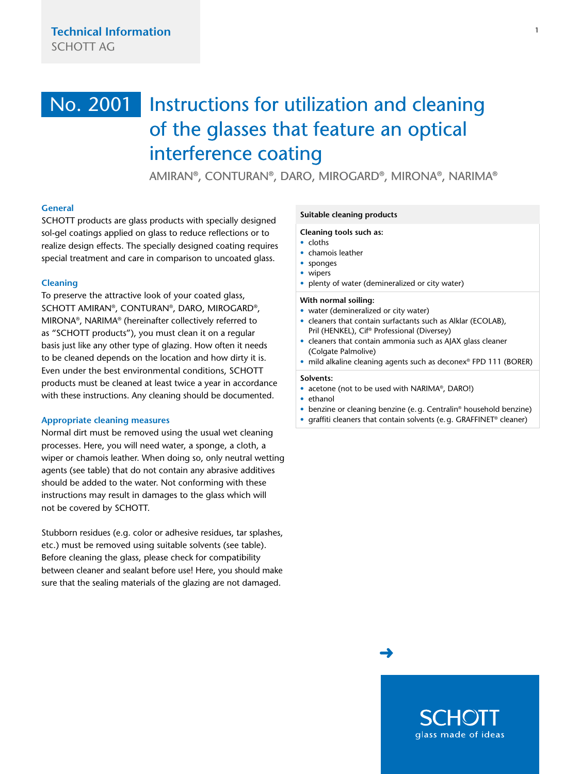# <span id="page-0-0"></span>Instructions for utilization and cleaning of the glasses that feature an optical interference coating No. 2001

AMIRAN®, CONTURAN®, DARO, MIROGARD®, MIRONA®, NARIMA®

# **General**

SCHOTT products are glass products with specially designed sol-gel coatings applied on glass to reduce reflections or to realize design effects. The specially designed coating requires special treatment and care in comparison to uncoated glass.

## **Cleaning**

To preserve the attractive look of your coated glass, SCHOTT AMIRAN®, CONTURAN®, DARO, MIROGARD®, MIRONA®, NARIMA® (hereinafter collectively referred to as "SCHOTT products"), you must clean it on a regular basis just like any other type of glazing. How often it needs to be cleaned depends on the location and how dirty it is. Even under the best environmental conditions, SCHOTT products must be cleaned at least twice a year in accordance with these instructions. Any cleaning should be documented.

## **Appropriate cleaning measures**

Normal dirt must be removed using the usual wet cleaning processes. Here, you will need water, a sponge, a cloth, a wiper or chamois leather. When doing so, only neutral wetting agents (see table) that do not contain any abrasive additives should be added to the water. Not conforming with these instructions may result in damages to the glass which will not be covered by SCHOTT.

Stubborn residues (e.g. color or adhesive residues, tar splashes, etc.) must be removed using suitable solvents (see table). Before cleaning the glass, please check for compatibility between cleaner and sealant before use! Here, you should make sure that the sealing materials of the glazing are not damaged.

### **Suitable cleaning products**

### **Cleaning tools such as:**

- cloths
- chamois leather
- sponges
- wipers
- plenty of water (demineralized or city water)

### **With normal soiling:**

- water (demineralized or city water)
- cleaners that contain surfactants such as Alklar (ECOLAB), Pril (HENKEL), Cif® Professional (Diversey)
- cleaners that contain ammonia such as AJAX glass cleaner (Colgate Palmolive)
- mild alkaline cleaning agents such as deconex® FPD 111 (BORER)

#### **Solvents:**

- acetone (not to be used with NARIMA®, DARO!)
- ethanol
- benzine or cleaning benzine (e.g. Centralin® household benzine)
- graffiti cleaners that contain solvents (e.g. GRAFFINET® cleaner)